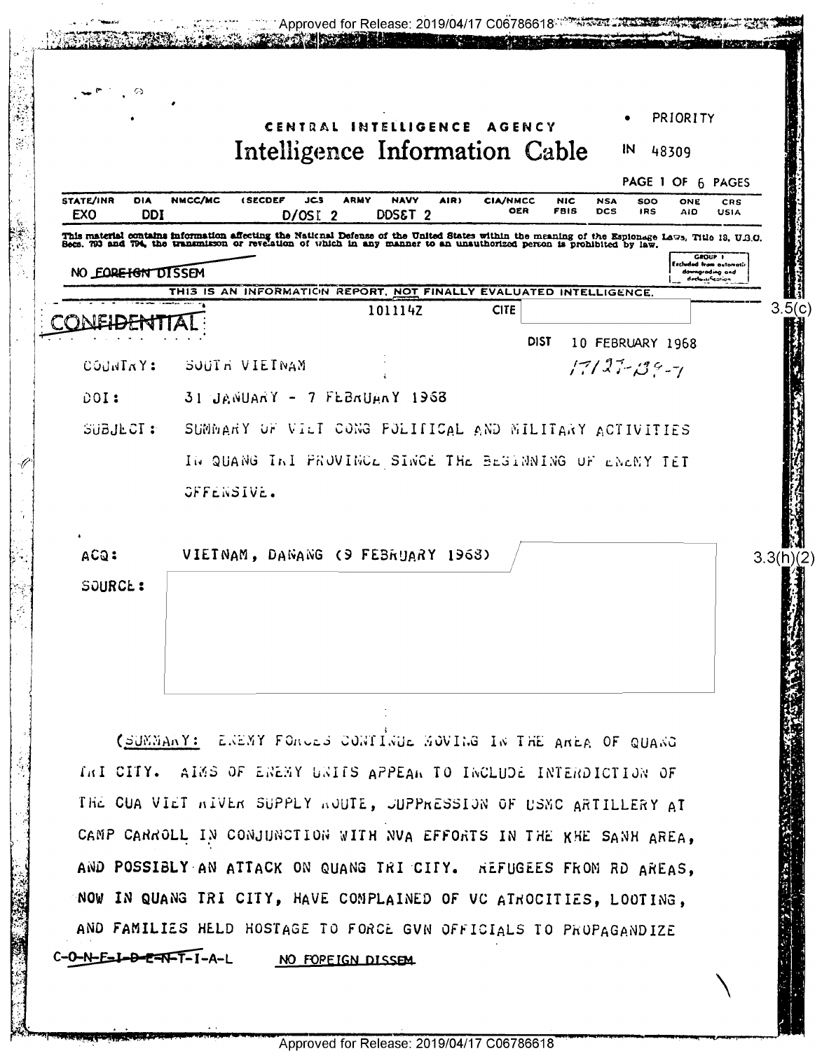|                                                                                                                                                                                                                                                     |               |                                                                    |             |                                                        |      |                        |                    |                          |                          | PRIORITY          |                                                      |
|-----------------------------------------------------------------------------------------------------------------------------------------------------------------------------------------------------------------------------------------------------|---------------|--------------------------------------------------------------------|-------------|--------------------------------------------------------|------|------------------------|--------------------|--------------------------|--------------------------|-------------------|------------------------------------------------------|
|                                                                                                                                                                                                                                                     |               | Intelligence Information Cable                                     |             | CENTRAL INTELLIGENCE AGENCY                            |      |                        |                    |                          | IN                       | 48309             |                                                      |
|                                                                                                                                                                                                                                                     |               |                                                                    |             |                                                        |      |                        |                    |                          |                          | PAGE 1 OF 6 PAGES |                                                      |
| <b>STATE/INR</b><br>DIA                                                                                                                                                                                                                             | NMCC/MC       | <b>(SECDEF</b><br>JCS                                              | <b>ARMY</b> | <b>NAVY</b>                                            | AIR) | <b>CIA/NMCC</b><br>OER | <b>NIC</b><br>FBIS | <b>NSA</b><br><b>DCS</b> | <b>SDO</b><br><b>IRS</b> | ONE<br><b>AID</b> | CRS<br><b>USIA</b>                                   |
| EXO<br><b>DDI</b><br>This material contains information affecting the National Defense of the United States within the meaning of the Espionage Laws, Title 13, U.S.O. Becs. 793 and 794, the transmisson or revelation of which in any manner to a |               | $D/OSI$ 2                                                          |             | DDS&T <sub>2</sub>                                     |      |                        |                    |                          |                          |                   |                                                      |
| NO EQREIGN DISSEM                                                                                                                                                                                                                                   |               |                                                                    |             |                                                        |      |                        |                    |                          |                          |                   | GPOUP I<br>Eschedad fram automati<br>downgrading and |
|                                                                                                                                                                                                                                                     |               | THIS IS AN INFORMATION REPORT, NOT FINALLY EVALUATED INTELLIGENCE. |             |                                                        |      |                        |                    |                          |                          |                   | declassification                                     |
|                                                                                                                                                                                                                                                     |               |                                                                    |             | 101114Z                                                |      | <b>CITE</b>            |                    |                          |                          |                   |                                                      |
|                                                                                                                                                                                                                                                     |               |                                                                    |             |                                                        |      | <b>DIST</b>            |                    | 10 FEBRUARY 1968         |                          |                   |                                                      |
| COUNTAY:                                                                                                                                                                                                                                            | SOUTH VIETNAM |                                                                    |             |                                                        |      |                        |                    | $17127 - 139 - 1$        |                          |                   |                                                      |
| DOI:                                                                                                                                                                                                                                                |               | $31$ JANUARY - 7 FEBRUARY 1968                                     |             |                                                        |      |                        |                    |                          |                          |                   |                                                      |
| SUBJECT:                                                                                                                                                                                                                                            |               | SUMMARY OF VILT CONG POLITICAL AND MILITARY ACTIVITIES             |             |                                                        |      |                        |                    |                          |                          |                   |                                                      |
|                                                                                                                                                                                                                                                     |               |                                                                    |             | IN QUANG INI PROVINCE SINCE THE BEGANNING OF ENEMY TET |      |                        |                    |                          |                          |                   |                                                      |
|                                                                                                                                                                                                                                                     |               |                                                                    |             |                                                        |      |                        |                    |                          |                          |                   |                                                      |
|                                                                                                                                                                                                                                                     |               |                                                                    |             |                                                        |      |                        |                    |                          |                          |                   |                                                      |
|                                                                                                                                                                                                                                                     | OFFENSIVE.    |                                                                    |             |                                                        |      |                        |                    |                          |                          |                   |                                                      |
|                                                                                                                                                                                                                                                     |               |                                                                    |             |                                                        |      |                        |                    |                          |                          |                   |                                                      |
| ACQ:                                                                                                                                                                                                                                                |               | VIETNAM, DANANG (9 FEBRUARY 1968)                                  |             |                                                        |      |                        |                    |                          |                          |                   |                                                      |
| SOURCE:                                                                                                                                                                                                                                             |               |                                                                    |             |                                                        |      |                        |                    |                          |                          |                   |                                                      |
|                                                                                                                                                                                                                                                     |               |                                                                    |             |                                                        |      |                        |                    |                          |                          |                   |                                                      |
|                                                                                                                                                                                                                                                     |               |                                                                    |             |                                                        |      |                        |                    |                          |                          |                   |                                                      |
|                                                                                                                                                                                                                                                     |               |                                                                    |             |                                                        |      |                        |                    |                          |                          |                   |                                                      |
|                                                                                                                                                                                                                                                     |               |                                                                    |             |                                                        |      |                        |                    |                          |                          |                   |                                                      |
|                                                                                                                                                                                                                                                     |               | (SUMMANY: ENEMY FORCES CONTINUE MOVING IN THE AREA OF QUANG        |             |                                                        |      |                        |                    |                          |                          |                   |                                                      |
| INI CITY. AINS OF ENEMY UNITS APPEAN TO INCLUDE INTERDICTION OF                                                                                                                                                                                     |               |                                                                    |             |                                                        |      |                        |                    |                          |                          |                   |                                                      |
|                                                                                                                                                                                                                                                     |               |                                                                    |             |                                                        |      |                        |                    |                          |                          |                   |                                                      |
| THE CUA VIET WIVER SUPPLY WOUTE, JUPPRESSION OF USMC ARTILLERY AT                                                                                                                                                                                   |               |                                                                    |             |                                                        |      |                        |                    |                          |                          |                   |                                                      |
| CAMP CARROLL IN CONJUNCTION WITH NVA EFFORTS IN THE KHE SANH AREA,                                                                                                                                                                                  |               |                                                                    |             |                                                        |      |                        |                    |                          |                          |                   |                                                      |
| AND POSSIBLY AN ATTACK ON QUANG TRI CITY. REFUGEES FROM RD AREAS,                                                                                                                                                                                   |               |                                                                    |             |                                                        |      |                        |                    |                          |                          |                   |                                                      |
| NOW IN QUANG TRI CITY, HAVE COMPLAINED OF VC ATROCITIES, LOOTING,                                                                                                                                                                                   |               |                                                                    |             |                                                        |      |                        |                    |                          |                          |                   |                                                      |
| AND FAMILIES HELD HOSTAGE TO FORCE GVN OFFICIALS TO PROPAGANDIZE                                                                                                                                                                                    |               |                                                                    |             |                                                        |      |                        |                    |                          |                          |                   |                                                      |

 $\sigma_{\rm{eff}}$  and

 $\sim$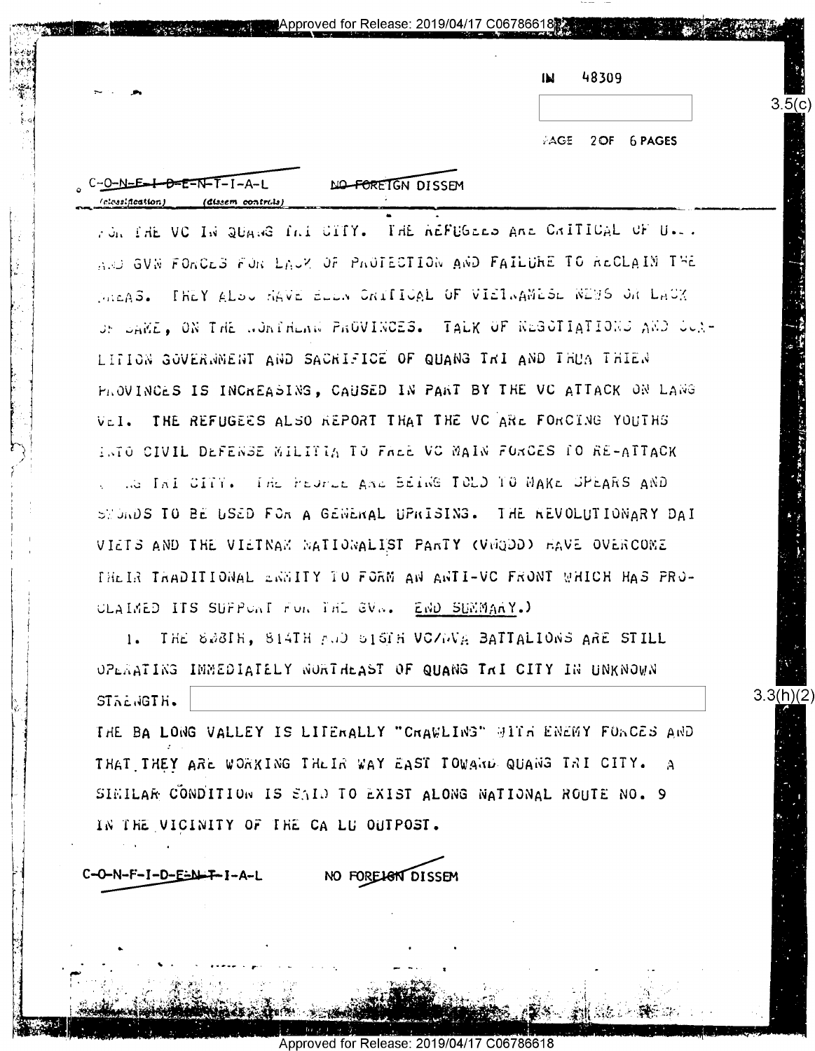| IЫ | 48309 |  |
|----|-------|--|
|    |       |  |

**AGE**  $2$  OF 6 PAGES  $3.5(c)$ 

 $3.3(h)(2)$ 

 $C - 0 - N = E - I - B = E - N - I - I - A - L$ (dissem controls)

NO FOREIGN DISSEM

■ Approved for Release: 2019/04/17 C06786618鬷

TON THE VC IN QUANG INT CITY. THE REFUGEED ARE CRITICAL OF U.S. AND GUN FORCES FOR LACK OF PROTECTION AND FAILURE TO RECLAIN THE MARAS. THEY ALOW HAVE BLEW CRITICAL OF VIETWAMESL WEBS ON LACK OF DAME, ON THE WORTHEAM PROVINCES. TALK OF NEGOTIATIONS AND COR-LITION GOVERNMENT AND SACRIFICE OF QUANG THI AND THUM THIEN PROVINCES IS INCREASING, CAUSED IN PART BY THE VC ATTACK ON LANG VEI. THE REFUGEES ALSO REPORT THAT THE VC ARE FORCING YOUTHS INTO CIVIL DEFENSE MILITIA TO FALE VC MAIN FORCES IO RE-ATTACK .a Ini Cilly. The Feurus and Being TCLD TO MAKE SPEARS AND SWORDS TO BE USED FOR A GENERAL UPRISING. THE REVOLUTIONARY DAI VIETS AND THE VIETNAM MATIONALIST PARTY (VEQDO) HAVE OVERCOME THEIR TRADITIONAL ERNITY TO FORM AN ANTI-VO FRONT WHICH HAS PRO-CLAIMED ITS SUFPUNT FOR THE GVN. END SUMMARY.)

1. THE SWBIH, SIATH AND SIGH VOZWA BATTALIONS ARE STILL OPERATING IMMEDIATELY NORTHEAST OF QUANG THI CITY IN UNKNOWN STRENGTH.

THE BA LONG VALLEY IS LITERALLY "CRAWLING" WITH ENEMY FORCES AND THAT THEY ARE WORKING THEIR WAY EAST TOWARD QUANG TRI CITY. SIMILAR CONDITION IS SAID TO EXIST ALONG NATIONAL ROUTE NO. 9 IN THE VICINITY OF THE CA LU OUTPOST.

C-O-N-F-I-D-E-N-T-I-A-L

NO FOREIGN DISSEM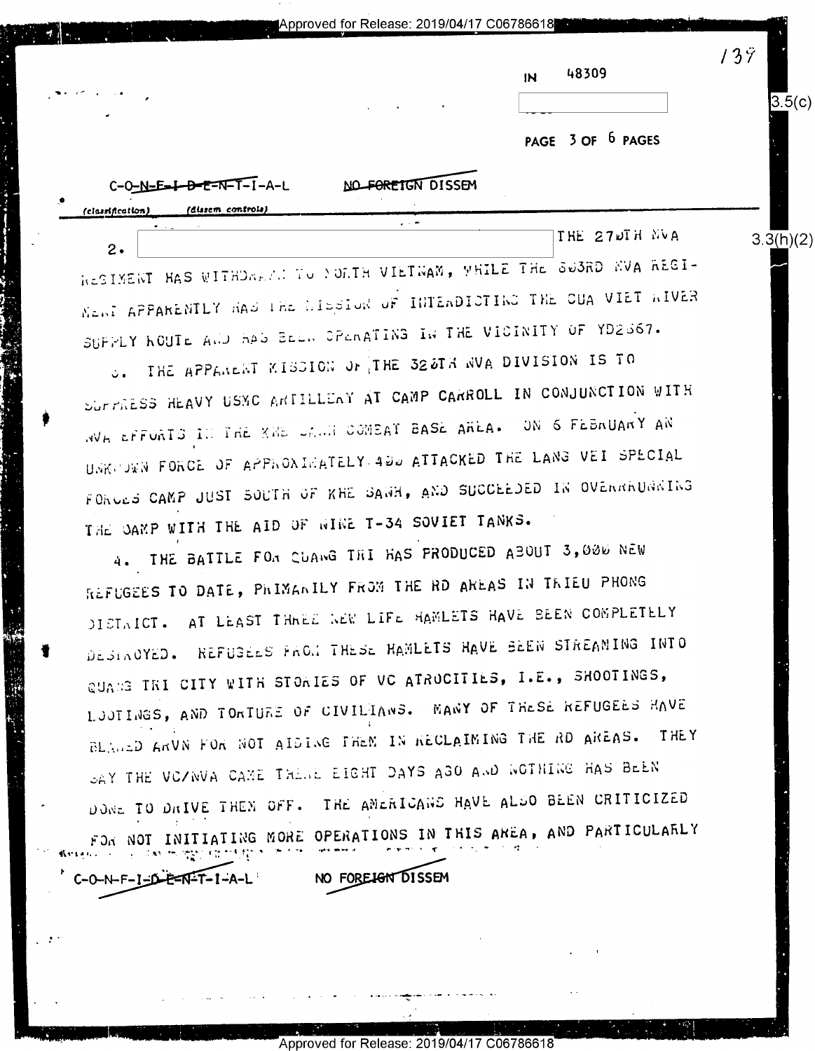Approved for Release: 2019/04/17 C06786618

| $\overline{M}$ | 48309 |  |
|----------------|-------|--|
|                |       |  |
|                |       |  |

 $139$ 

 $3.5(c)$ 

 $3.\overline{3(h)}(2)$ 

PAGE 3 OF 6 PAGES

| $C - 0 - N - E - I - B - E - N - I - I - A - L$ |  |                   | NO FOREIGN DISSEM |  |               |  |
|-------------------------------------------------|--|-------------------|-------------------|--|---------------|--|
| (classification)                                |  | (dissem controls) |                   |  |               |  |
|                                                 |  |                   | . . <del>.</del>  |  | THE 27DIH NVA |  |

RESIMENT HAS WITHDARTH TO YORTH VIETNAM, WHILE THE SUBRD NVA REGI-MenT APPARENTLY HAD THE MIDSTON OF INTERDICTING THE CUA VIET WIVER SUPPLY ROUTE AND HAS BEEN OPENATING IN THE VICINITY OF YD2S67.

O. THE APPARENT KISSION OF THE 325TH WAR DIVISION IS TO SUPPRESS HEAVY USMC ARTILLENY AT CAMP CARROLL IN CONJUNCTION WITH NVE CEFORTS IN THE XHE CANN COMEAT BASE AREA. ON 6 FEBRUARY AN UNKCOWN FORCE OF APPROXIMATELY 400 ATTACKED THE LANG VEI SPECIAL FORCES CAMP JUST SOUTH OF KHE SAWH, AND SUCCEEDED IN OVERRRUNNING THE CAMP WITH THE AID OF WINE T-34 SOVIET TANKS.

4. THE BATTLE FOR CUANG TRI HAS PRODUCED ABOUT 3,000 NEW REFUGEES TO DATE, PRIMARILY FROM THE RD AREAS IN TRIEU PHONG DISTAICT. AT LEAST THARE WEW LIFE HAMLETS HAVE BEEN COMPLETELY DESINOYED. REFUSEES FRON THESE HAMLETS HAVE BEEN STREAMING INTO QUANG TRI CITY WITH STOWIES OF VC ATROCITIES, I.E., SHOOTINGS, LUUTINGS, AND TORTURE OF CIVILIANS. MANY OF THESE REFUGEES HAVE BLANED ARVN FOR NOT AIDING THEM IN RECLAIMING THE RD AREAS. THEY SAY THE VOZWVA CAME THENE EIGHT DAYS AGO AND WOTHING HAS BEEN DONE TO DRIVE THEM OFF. THE AMERICANS HAVE ALSO BEEN CRITICIZED FOR NOT INITIATING MORE OPERATIONS IN THIS AREA, AND PARTICULARLY

NO FOREIGN DISSEM

Approved for

 $0 - N - F - I - D - F - N - T - I - A - L$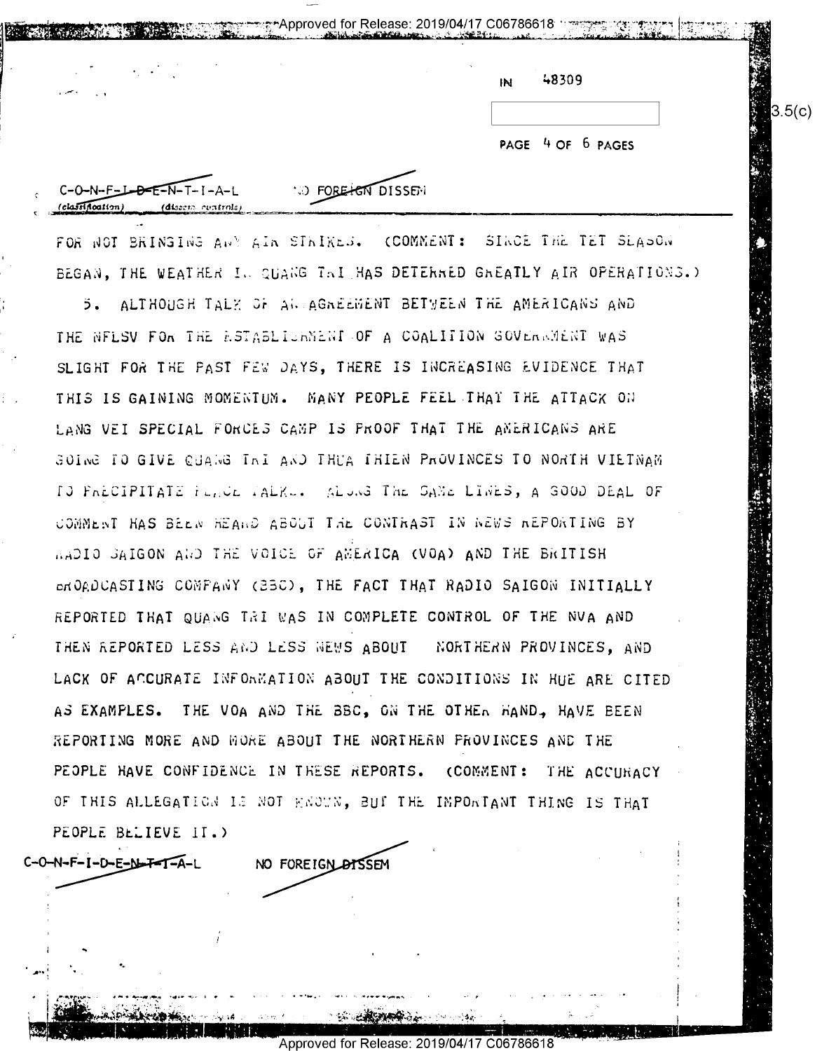| IN | 48309 |  |
|----|-------|--|

PAGE 4 OF 6 PAGES

 $3.5(c)$ 

**O FORE CAT DISSEN** 

FOR NOT BRINGING ANY AIR SIRIKES. (COMMENT: SIRCE THE TET SLASON BEGAN, THE WEATHER IN QUANG TAI HAS DETERRED GREATLY AIR OPERATIONS.)

ಾ\*Approved for Release: 2019/04/17 C06786618 : ಇ

5. ALTHOUGH TALK OF AN AGREEMENT BETYEEN THE AMERICANS AND THE NELSV FOR THE ESTABLICHMENT OF A COALITION GOVERNMENT WAS SLIGHT FOR THE PAST FEW DAYS, THERE IS INCREASING EVIDENCE THAT THIS IS GAINING MOMENTUM. MANY PEOPLE FEEL THAT THE ATTACK ON LANG VEI SPECIAL FORCES CAMP IS PROOF THAT THE AMERICANS ARE GOING TO GIVE CUANG THI AND THUA THIEN PROVINCES TO NORTH VIETNAM ID PALCIPITATE FUNCE TALKU. ALONG THE SAME LINES, A GOOD DEAL OF COMMENT HAS BEEN HEAND ABOUT THE CONTRAST IN NEWS REPORTING BY MADIO SAIGON AND THE VOICE OF AMERICA (VOA) AND THE BRITISH EROADCASTING COMPANY (23C), THE FACT THAT RADIO SAIGON INITIALLY REPORTED THAT QUANG TRI WAS IN COMPLETE CONTROL OF THE NVA AND THEN REPORTED LESS AND LESS NEWS ABOUT MORTHERN PROVINCES, AND LACK OF ACCURATE INFORMATION ABOUT THE CONDITIONS IN HUE ARE CITED AS EXAMPLES. THE VOA AND THE BBC, ON THE OTHER HAND, HAVE BEEN REPORTING MORE AND WORE ABOUT THE NORTHERN PROVINCES AND THE PEOPLE HAVE CONFIDENCE IN THESE REPORTS. (COMMENT: THE ACCURACY OF THIS ALLEGATION IS NOT HENOWN, BUT THE IMPORTANT THING IS THAT PEOPLE BELIEVE IT.)

C-O-N-F-I-D-E-N-F-I-A-L

 $C-O-N-F-L-D-E-N-T-I$ 

NO FOREIGN DISSEM

Approved for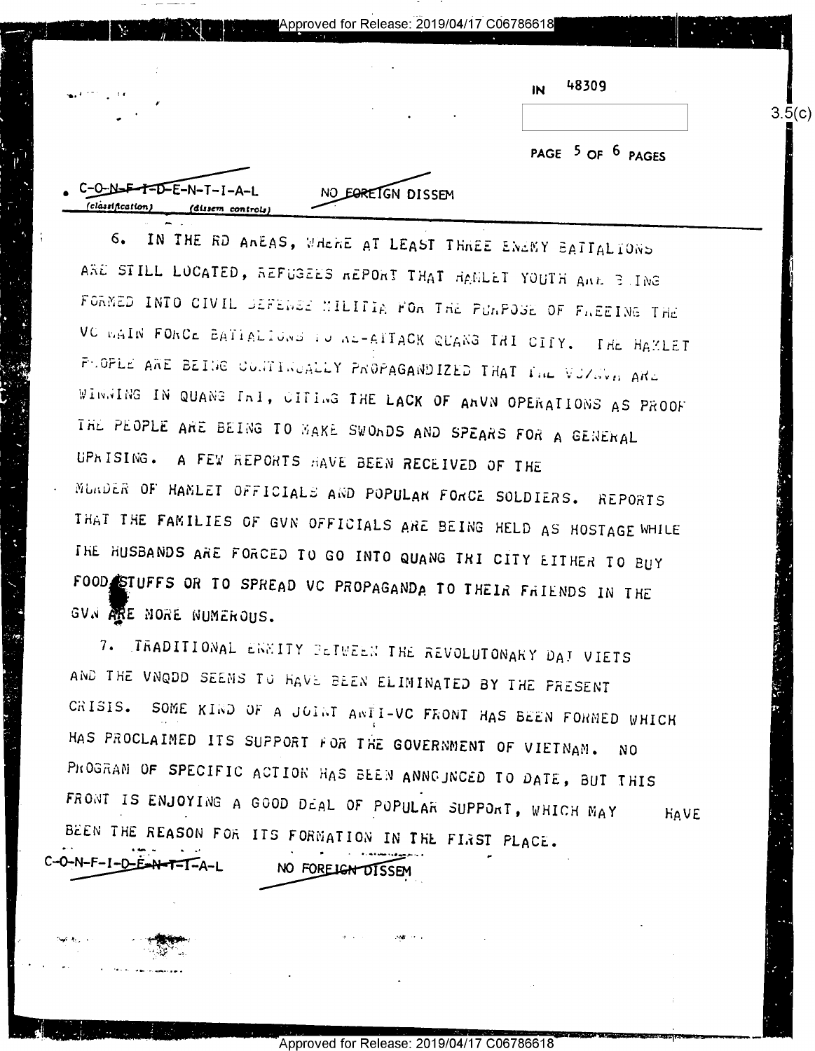Approved for Release: 2019/04/17 C06786618

48309 IN

 $3.5(c)$ 

PAGE 5 OF 6 PAGES

:−O⊷N<del>∍</del>F  $\overline{T}$  $\overline{D}$  $\overline{E}$  $\overline{D}$  $\overline{E}$  $\overline{D}$  $\overline{F}$  $\overline{D}$  $\overline{F}$  $\overline{D}$  $\overline{F}$  $\overline{F}$ NO EORETGN DISSEM (clàssificati

IN THE RD ANEAS, WHENE AT LEAST THREE ENEMY BATTALTONS 6. ARE STILL LOCATED, REFUSEES REPORT THAT HAMLET YOUTH ARE BUING FORMED INTO CIVIL SEFEREE MILITIA FOR THE PURPOSE OF FREEING THE VC BAIN FORCE BATIALIONS TO AL-ATTACK QUANG TRI CITY. THE HAMLET FLOPLE ARE BEING CONTINUALLY PROPAGANDIZED THAT THE VUZNER ARE WINNING IN QUANG InI, CITING THE LACK OF ANVN OPERATIONS AS PROOF THE PEOPLE ARE BEING TO MAKE SWONDS AND SPEARS FOR A GENERAL UPRISING. A FEW REPORTS HAVE BEEN RECEIVED OF THE MUNDER OF HAMLET OFFICIALS AND POPULAR FORCE SOLDIERS. REPORTS THAT THE FAMILIES OF GVN OFFICIALS ARE BEING HELD AS HOSTAGE WHILE THE HUSBANDS ARE FORCED TO GO INTO QUANG TRI CITY EITHER TO BUY FOOD STUFFS OR TO SPREAD VC PROPAGANDA TO THEIR FRIENDS IN THE GVN RE MORE NUMEROUS.

7. TRADITIONAL ENNITY PETWEEN THE REVOLUTONARY DAT VIETS AND THE VNQDD SEEMS TO HAVE BEEN ELIMINATED BY THE PRESENT CRISIS. SOME KIND OF A JOINT ANTI-VC FRONT HAS BEEN FORMED WHICH HAS PROCLAIMED ITS SUPPORT FOR THE GOVERNMENT OF VIETNAM. N<sub>0</sub> PROGRAM OF SPECIFIC ACTION HAS BEEN ANNOUNCED TO DATE, BUT THIS FRONT IS ENJOYING A GOOD DEAL OF POPULAR SUPPORT, WHICH MAY HAVE BEEN THE REASON FOR ITS FORMATION IN THE FIRST PLACE.

0-N-F-I-D-E-N-T-I-A-L

NO FOREIGN DISSEM